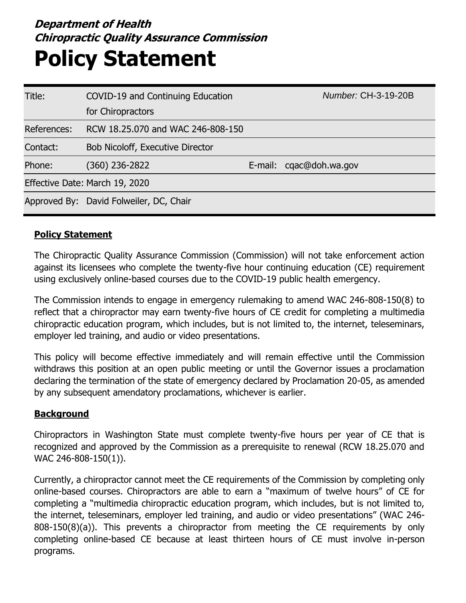## **Department of Health Chiropractic Quality Assurance Commission Policy Statement**

| Title:      | COVID-19 and Continuing Education       | Number: CH-3-19-20B     |
|-------------|-----------------------------------------|-------------------------|
|             | for Chiropractors                       |                         |
| References: | RCW 18.25.070 and WAC 246-808-150       |                         |
| Contact:    | <b>Bob Nicoloff, Executive Director</b> |                         |
| Phone:      | (360) 236-2822                          | E-mail: cgac@doh.wa.gov |
|             | Effective Date: March 19, 2020          |                         |
|             | Approved By: David Folweiler, DC, Chair |                         |

## **Policy Statement**

The Chiropractic Quality Assurance Commission (Commission) will not take enforcement action against its licensees who complete the twenty-five hour continuing education (CE) requirement using exclusively online-based courses due to the COVID-19 public health emergency.

The Commission intends to engage in emergency rulemaking to amend WAC 246-808-150(8) to reflect that a chiropractor may earn twenty-five hours of CE credit for completing a multimedia chiropractic education program, which includes, but is not limited to, the internet, teleseminars, employer led training, and audio or video presentations.

This policy will become effective immediately and will remain effective until the Commission withdraws this position at an open public meeting or until the Governor issues a proclamation declaring the termination of the state of emergency declared by Proclamation 20-05, as amended by any subsequent amendatory proclamations, whichever is earlier.

## **Background**

Chiropractors in Washington State must complete twenty-five hours per year of CE that is recognized and approved by the Commission as a prerequisite to renewal (RCW 18.25.070 and WAC 246-808-150(1)).

Currently, a chiropractor cannot meet the CE requirements of the Commission by completing only online-based courses. Chiropractors are able to earn a "maximum of twelve hours" of CE for completing a "multimedia chiropractic education program, which includes, but is not limited to, the internet, teleseminars, employer led training, and audio or video presentations" (WAC 246- 808-150(8)(a)). This prevents a chiropractor from meeting the CE requirements by only completing online-based CE because at least thirteen hours of CE must involve in-person programs.